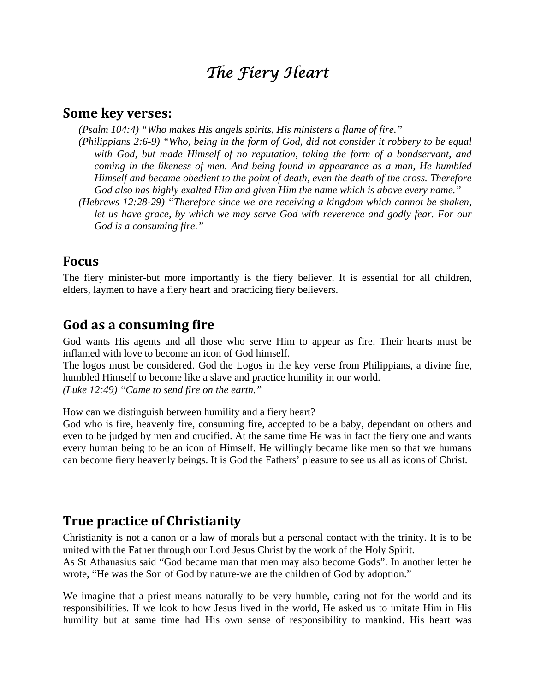# *The Fiery Heart*

#### **Some key verses:**

*(Psalm 104:4) "Who makes His angels spirits, His ministers a flame of fire."*

*(Philippians 2:6-9) "Who, being in the form of God, did not consider it robbery to be equal with God, but made Himself of no reputation, taking the form of a bondservant, and coming in the likeness of men. And being found in appearance as a man, He humbled Himself and became obedient to the point of death, even the death of the cross. Therefore God also has highly exalted Him and given Him the name which is above every name."*

*(Hebrews 12:28-29) "Therefore since we are receiving a kingdom which cannot be shaken,*  let us have grace, by which we may serve God with reverence and godly fear. For our *God is a consuming fire."* 

#### **Focus**

The fiery minister-but more importantly is the fiery believer. It is essential for all children, elders, laymen to have a fiery heart and practicing fiery believers.

#### **God as a consuming fire**

God wants His agents and all those who serve Him to appear as fire. Their hearts must be inflamed with love to become an icon of God himself.

The logos must be considered. God the Logos in the key verse from Philippians, a divine fire, humbled Himself to become like a slave and practice humility in our world. *(Luke 12:49) "Came to send fire on the earth."* 

How can we distinguish between humility and a fiery heart?

God who is fire, heavenly fire, consuming fire, accepted to be a baby, dependant on others and even to be judged by men and crucified. At the same time He was in fact the fiery one and wants every human being to be an icon of Himself. He willingly became like men so that we humans can become fiery heavenly beings. It is God the Fathers' pleasure to see us all as icons of Christ.

#### **True practice of Christianity**

Christianity is not a canon or a law of morals but a personal contact with the trinity. It is to be united with the Father through our Lord Jesus Christ by the work of the Holy Spirit.

As St Athanasius said "God became man that men may also become Gods". In another letter he wrote, "He was the Son of God by nature-we are the children of God by adoption."

We imagine that a priest means naturally to be very humble, caring not for the world and its responsibilities. If we look to how Jesus lived in the world, He asked us to imitate Him in His humility but at same time had His own sense of responsibility to mankind. His heart was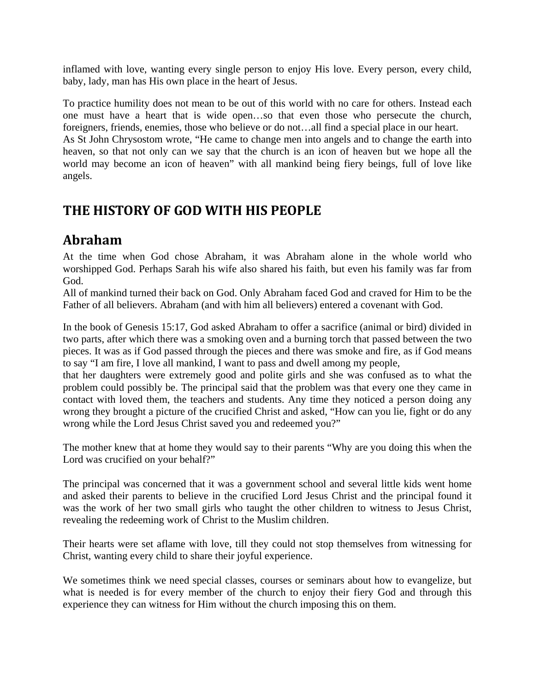inflamed with love, wanting every single person to enjoy His love. Every person, every child, baby, lady, man has His own place in the heart of Jesus.

To practice humility does not mean to be out of this world with no care for others. Instead each one must have a heart that is wide open…so that even those who persecute the church, foreigners, friends, enemies, those who believe or do not…all find a special place in our heart. As St John Chrysostom wrote, "He came to change men into angels and to change the earth into heaven, so that not only can we say that the church is an icon of heaven but we hope all the world may become an icon of heaven" with all mankind being fiery beings, full of love like angels.

## **THE HISTORY OF GOD WITH HIS PEOPLE**

## **Abraham**

At the time when God chose Abraham, it was Abraham alone in the whole world who worshipped God. Perhaps Sarah his wife also shared his faith, but even his family was far from God.

All of mankind turned their back on God. Only Abraham faced God and craved for Him to be the Father of all believers. Abraham (and with him all believers) entered a covenant with God.

In the book of Genesis 15:17, God asked Abraham to offer a sacrifice (animal or bird) divided in two parts, after which there was a smoking oven and a burning torch that passed between the two pieces. It was as if God passed through the pieces and there was smoke and fire, as if God means to say "I am fire, I love all mankind, I want to pass and dwell among my people,

that her daughters were extremely good and polite girls and she was confused as to what the problem could possibly be. The principal said that the problem was that every one they came in contact with loved them, the teachers and students. Any time they noticed a person doing any wrong they brought a picture of the crucified Christ and asked, "How can you lie, fight or do any wrong while the Lord Jesus Christ saved you and redeemed you?"

The mother knew that at home they would say to their parents "Why are you doing this when the Lord was crucified on your behalf?"

The principal was concerned that it was a government school and several little kids went home and asked their parents to believe in the crucified Lord Jesus Christ and the principal found it was the work of her two small girls who taught the other children to witness to Jesus Christ, revealing the redeeming work of Christ to the Muslim children.

Their hearts were set aflame with love, till they could not stop themselves from witnessing for Christ, wanting every child to share their joyful experience.

We sometimes think we need special classes, courses or seminars about how to evangelize, but what is needed is for every member of the church to enjoy their fiery God and through this experience they can witness for Him without the church imposing this on them.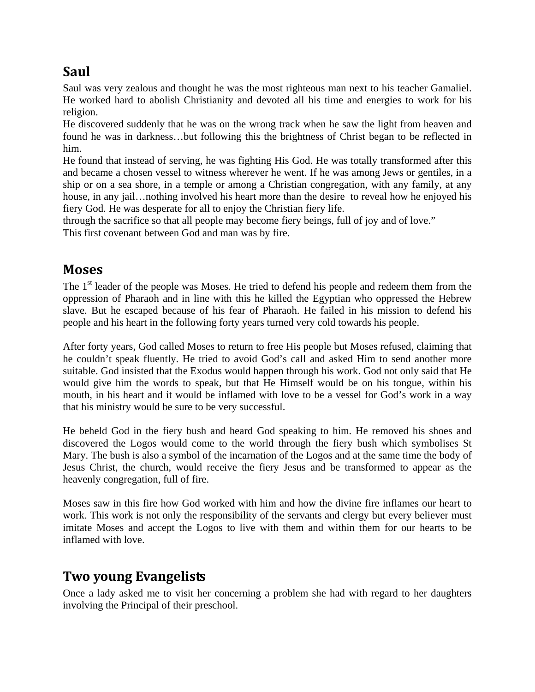## **Saul**

Saul was very zealous and thought he was the most righteous man next to his teacher Gamaliel. He worked hard to abolish Christianity and devoted all his time and energies to work for his religion.

He discovered suddenly that he was on the wrong track when he saw the light from heaven and found he was in darkness…but following this the brightness of Christ began to be reflected in him.

He found that instead of serving, he was fighting His God. He was totally transformed after this and became a chosen vessel to witness wherever he went. If he was among Jews or gentiles, in a ship or on a sea shore, in a temple or among a Christian congregation, with any family, at any house, in any jail…nothing involved his heart more than the desire to reveal how he enjoyed his fiery God. He was desperate for all to enjoy the Christian fiery life.

through the sacrifice so that all people may become fiery beings, full of joy and of love." This first covenant between God and man was by fire.

### **Moses**

The 1<sup>st</sup> leader of the people was Moses. He tried to defend his people and redeem them from the oppression of Pharaoh and in line with this he killed the Egyptian who oppressed the Hebrew slave. But he escaped because of his fear of Pharaoh. He failed in his mission to defend his people and his heart in the following forty years turned very cold towards his people.

After forty years, God called Moses to return to free His people but Moses refused, claiming that he couldn't speak fluently. He tried to avoid God's call and asked Him to send another more suitable. God insisted that the Exodus would happen through his work. God not only said that He would give him the words to speak, but that He Himself would be on his tongue, within his mouth, in his heart and it would be inflamed with love to be a vessel for God's work in a way that his ministry would be sure to be very successful.

He beheld God in the fiery bush and heard God speaking to him. He removed his shoes and discovered the Logos would come to the world through the fiery bush which symbolises St Mary. The bush is also a symbol of the incarnation of the Logos and at the same time the body of Jesus Christ, the church, would receive the fiery Jesus and be transformed to appear as the heavenly congregation, full of fire.

Moses saw in this fire how God worked with him and how the divine fire inflames our heart to work. This work is not only the responsibility of the servants and clergy but every believer must imitate Moses and accept the Logos to live with them and within them for our hearts to be inflamed with love.

## **Two young Evangelists**

Once a lady asked me to visit her concerning a problem she had with regard to her daughters involving the Principal of their preschool.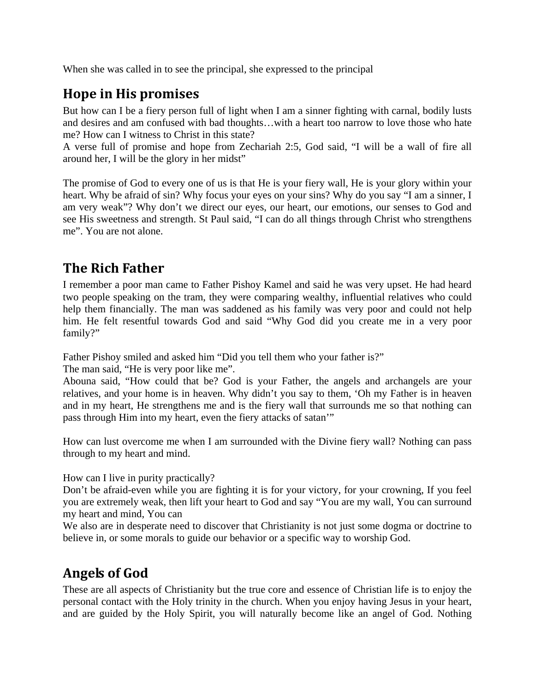When she was called in to see the principal, she expressed to the principal

## **Hope in His promises**

But how can I be a fiery person full of light when I am a sinner fighting with carnal, bodily lusts and desires and am confused with bad thoughts…with a heart too narrow to love those who hate me? How can I witness to Christ in this state?

A verse full of promise and hope from Zechariah 2:5, God said, "I will be a wall of fire all around her, I will be the glory in her midst"

The promise of God to every one of us is that He is your fiery wall, He is your glory within your heart. Why be afraid of sin? Why focus your eyes on your sins? Why do you say "I am a sinner, I am very weak"? Why don't we direct our eyes, our heart, our emotions, our senses to God and see His sweetness and strength. St Paul said, "I can do all things through Christ who strengthens me". You are not alone.

## **The Rich Father**

I remember a poor man came to Father Pishoy Kamel and said he was very upset. He had heard two people speaking on the tram, they were comparing wealthy, influential relatives who could help them financially. The man was saddened as his family was very poor and could not help him. He felt resentful towards God and said "Why God did you create me in a very poor family?"

Father Pishoy smiled and asked him "Did you tell them who your father is?"

The man said, "He is very poor like me".

Abouna said, "How could that be? God is your Father, the angels and archangels are your relatives, and your home is in heaven. Why didn't you say to them, 'Oh my Father is in heaven and in my heart, He strengthens me and is the fiery wall that surrounds me so that nothing can pass through Him into my heart, even the fiery attacks of satan'"

How can lust overcome me when I am surrounded with the Divine fiery wall? Nothing can pass through to my heart and mind.

How can I live in purity practically?

Don't be afraid-even while you are fighting it is for your victory, for your crowning, If you feel you are extremely weak, then lift your heart to God and say "You are my wall, You can surround my heart and mind, You can

We also are in desperate need to discover that Christianity is not just some dogma or doctrine to believe in, or some morals to guide our behavior or a specific way to worship God.

## **Angels of God**

These are all aspects of Christianity but the true core and essence of Christian life is to enjoy the personal contact with the Holy trinity in the church. When you enjoy having Jesus in your heart, and are guided by the Holy Spirit, you will naturally become like an angel of God. Nothing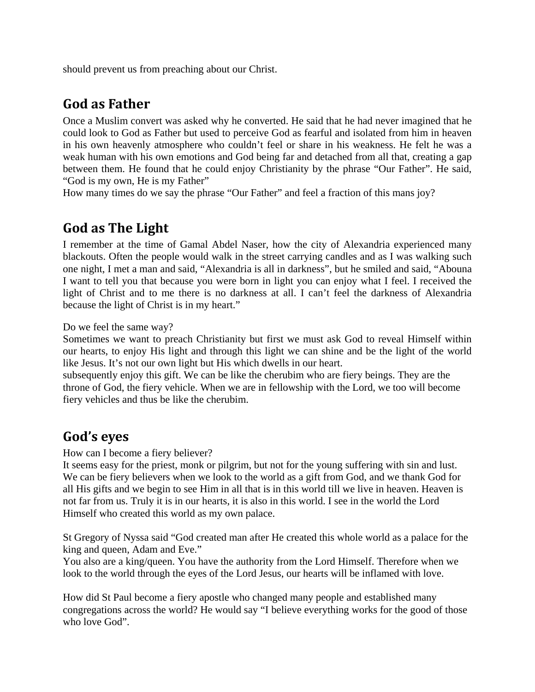should prevent us from preaching about our Christ.

### **God as Father**

Once a Muslim convert was asked why he converted. He said that he had never imagined that he could look to God as Father but used to perceive God as fearful and isolated from him in heaven in his own heavenly atmosphere who couldn't feel or share in his weakness. He felt he was a weak human with his own emotions and God being far and detached from all that, creating a gap between them. He found that he could enjoy Christianity by the phrase "Our Father". He said, "God is my own, He is my Father"

How many times do we say the phrase "Our Father" and feel a fraction of this mans joy?

## **God as The Light**

I remember at the time of Gamal Abdel Naser, how the city of Alexandria experienced many blackouts. Often the people would walk in the street carrying candles and as I was walking such one night, I met a man and said, "Alexandria is all in darkness", but he smiled and said, "Abouna I want to tell you that because you were born in light you can enjoy what I feel. I received the light of Christ and to me there is no darkness at all. I can't feel the darkness of Alexandria because the light of Christ is in my heart."

Do we feel the same way?

Sometimes we want to preach Christianity but first we must ask God to reveal Himself within our hearts, to enjoy His light and through this light we can shine and be the light of the world like Jesus. It's not our own light but His which dwells in our heart.

subsequently enjoy this gift. We can be like the cherubim who are fiery beings. They are the throne of God, the fiery vehicle. When we are in fellowship with the Lord, we too will become fiery vehicles and thus be like the cherubim.

### **God's eyes**

How can I become a fiery believer?

It seems easy for the priest, monk or pilgrim, but not for the young suffering with sin and lust. We can be fiery believers when we look to the world as a gift from God, and we thank God for all His gifts and we begin to see Him in all that is in this world till we live in heaven. Heaven is not far from us. Truly it is in our hearts, it is also in this world. I see in the world the Lord Himself who created this world as my own palace.

St Gregory of Nyssa said "God created man after He created this whole world as a palace for the king and queen, Adam and Eve."

You also are a king/queen. You have the authority from the Lord Himself. Therefore when we look to the world through the eyes of the Lord Jesus, our hearts will be inflamed with love.

How did St Paul become a fiery apostle who changed many people and established many congregations across the world? He would say "I believe everything works for the good of those who love God".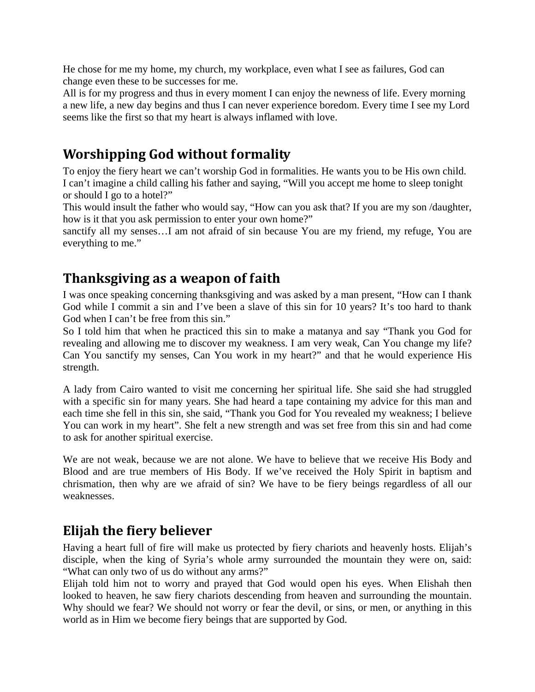He chose for me my home, my church, my workplace, even what I see as failures, God can change even these to be successes for me.

All is for my progress and thus in every moment I can enjoy the newness of life. Every morning a new life, a new day begins and thus I can never experience boredom. Every time I see my Lord seems like the first so that my heart is always inflamed with love.

## **Worshipping God without formality**

To enjoy the fiery heart we can't worship God in formalities. He wants you to be His own child. I can't imagine a child calling his father and saying, "Will you accept me home to sleep tonight or should I go to a hotel?"

This would insult the father who would say, "How can you ask that? If you are my son /daughter, how is it that you ask permission to enter your own home?"

sanctify all my senses…I am not afraid of sin because You are my friend, my refuge, You are everything to me."

## **Thanksgiving as a weapon of faith**

I was once speaking concerning thanksgiving and was asked by a man present, "How can I thank God while I commit a sin and I've been a slave of this sin for 10 years? It's too hard to thank God when I can't be free from this sin."

So I told him that when he practiced this sin to make a matanya and say "Thank you God for revealing and allowing me to discover my weakness. I am very weak, Can You change my life? Can You sanctify my senses, Can You work in my heart?" and that he would experience His strength.

A lady from Cairo wanted to visit me concerning her spiritual life. She said she had struggled with a specific sin for many years. She had heard a tape containing my advice for this man and each time she fell in this sin, she said, "Thank you God for You revealed my weakness; I believe You can work in my heart". She felt a new strength and was set free from this sin and had come to ask for another spiritual exercise.

We are not weak, because we are not alone. We have to believe that we receive His Body and Blood and are true members of His Body. If we've received the Holy Spirit in baptism and chrismation, then why are we afraid of sin? We have to be fiery beings regardless of all our weaknesses.

### **Elijah the fiery believer**

Having a heart full of fire will make us protected by fiery chariots and heavenly hosts. Elijah's disciple, when the king of Syria's whole army surrounded the mountain they were on, said: "What can only two of us do without any arms?"

Elijah told him not to worry and prayed that God would open his eyes. When Elishah then looked to heaven, he saw fiery chariots descending from heaven and surrounding the mountain. Why should we fear? We should not worry or fear the devil, or sins, or men, or anything in this world as in Him we become fiery beings that are supported by God.